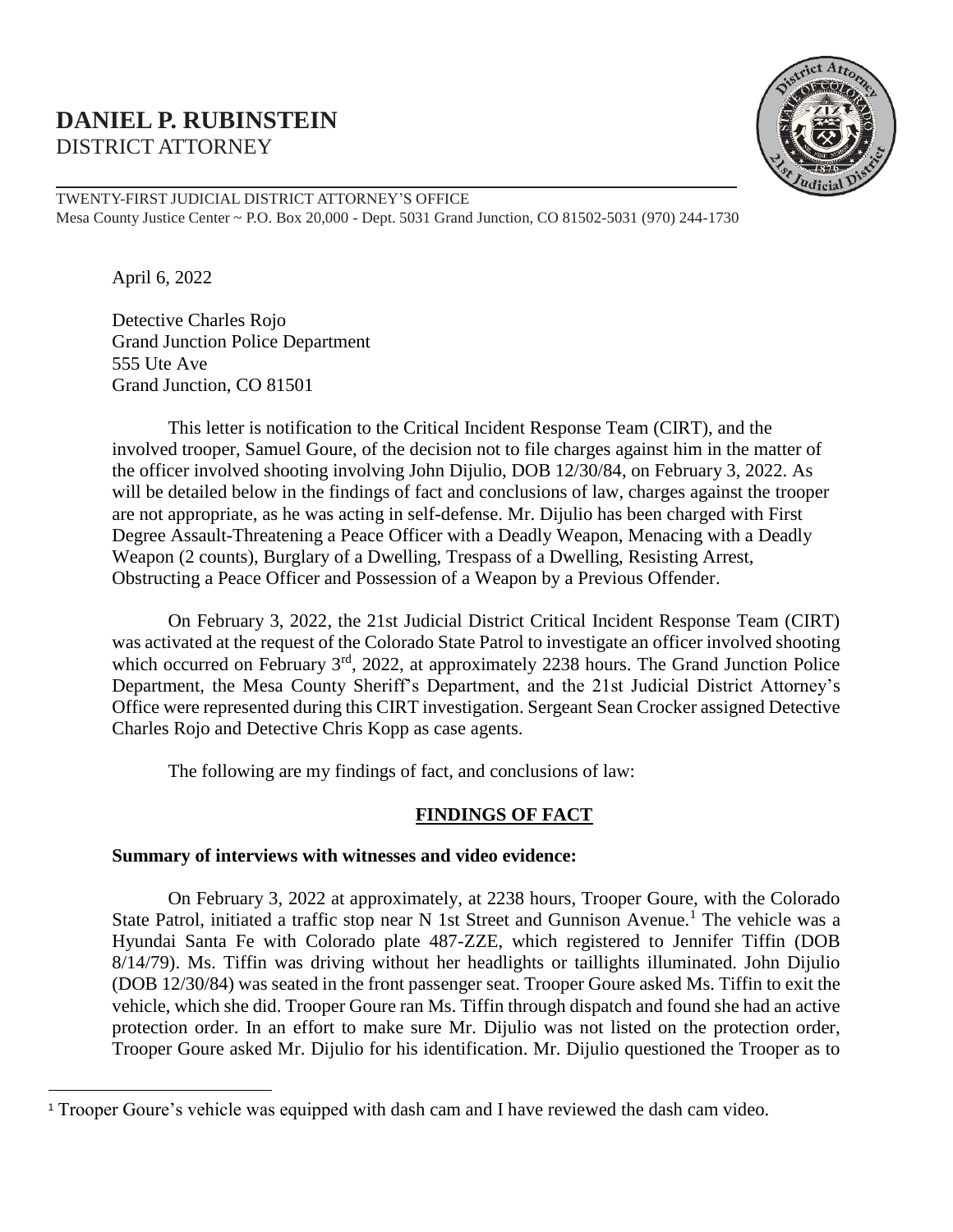# **DANIEL P. RUBINSTEIN** DISTRICT ATTORNEY



TWENTY-FIRST JUDICIAL DISTRICT ATTORNEY'S OFFICE Mesa County Justice Center ~ P.O. Box 20,000 - Dept. 5031 Grand Junction, CO 81502-5031 (970) 244-1730

April 6, 2022

 $\overline{a}$ 

Detective Charles Rojo Grand Junction Police Department 555 Ute Ave Grand Junction, CO 81501

This letter is notification to the Critical Incident Response Team (CIRT), and the involved trooper, Samuel Goure, of the decision not to file charges against him in the matter of the officer involved shooting involving John Dijulio, DOB 12/30/84, on February 3, 2022. As will be detailed below in the findings of fact and conclusions of law, charges against the trooper are not appropriate, as he was acting in self-defense. Mr. Dijulio has been charged with First Degree Assault-Threatening a Peace Officer with a Deadly Weapon, Menacing with a Deadly Weapon (2 counts), Burglary of a Dwelling, Trespass of a Dwelling, Resisting Arrest, Obstructing a Peace Officer and Possession of a Weapon by a Previous Offender.

On February 3, 2022, the 21st Judicial District Critical Incident Response Team (CIRT) was activated at the request of the Colorado State Patrol to investigate an officer involved shooting which occurred on February 3<sup>rd</sup>, 2022, at approximately 2238 hours. The Grand Junction Police Department, the Mesa County Sheriff's Department, and the 21st Judicial District Attorney's Office were represented during this CIRT investigation. Sergeant Sean Crocker assigned Detective Charles Rojo and Detective Chris Kopp as case agents.

The following are my findings of fact, and conclusions of law:

### **FINDINGS OF FACT**

### **Summary of interviews with witnesses and video evidence:**

On February 3, 2022 at approximately, at 2238 hours, Trooper Goure, with the Colorado State Patrol, initiated a traffic stop near N 1st Street and Gunnison Avenue.<sup>1</sup> The vehicle was a Hyundai Santa Fe with Colorado plate 487-ZZE, which registered to Jennifer Tiffin (DOB 8/14/79). Ms. Tiffin was driving without her headlights or taillights illuminated. John Dijulio (DOB 12/30/84) was seated in the front passenger seat. Trooper Goure asked Ms. Tiffin to exit the vehicle, which she did. Trooper Goure ran Ms. Tiffin through dispatch and found she had an active protection order. In an effort to make sure Mr. Dijulio was not listed on the protection order, Trooper Goure asked Mr. Dijulio for his identification. Mr. Dijulio questioned the Trooper as to

<sup>1</sup> Trooper Goure's vehicle was equipped with dash cam and I have reviewed the dash cam video.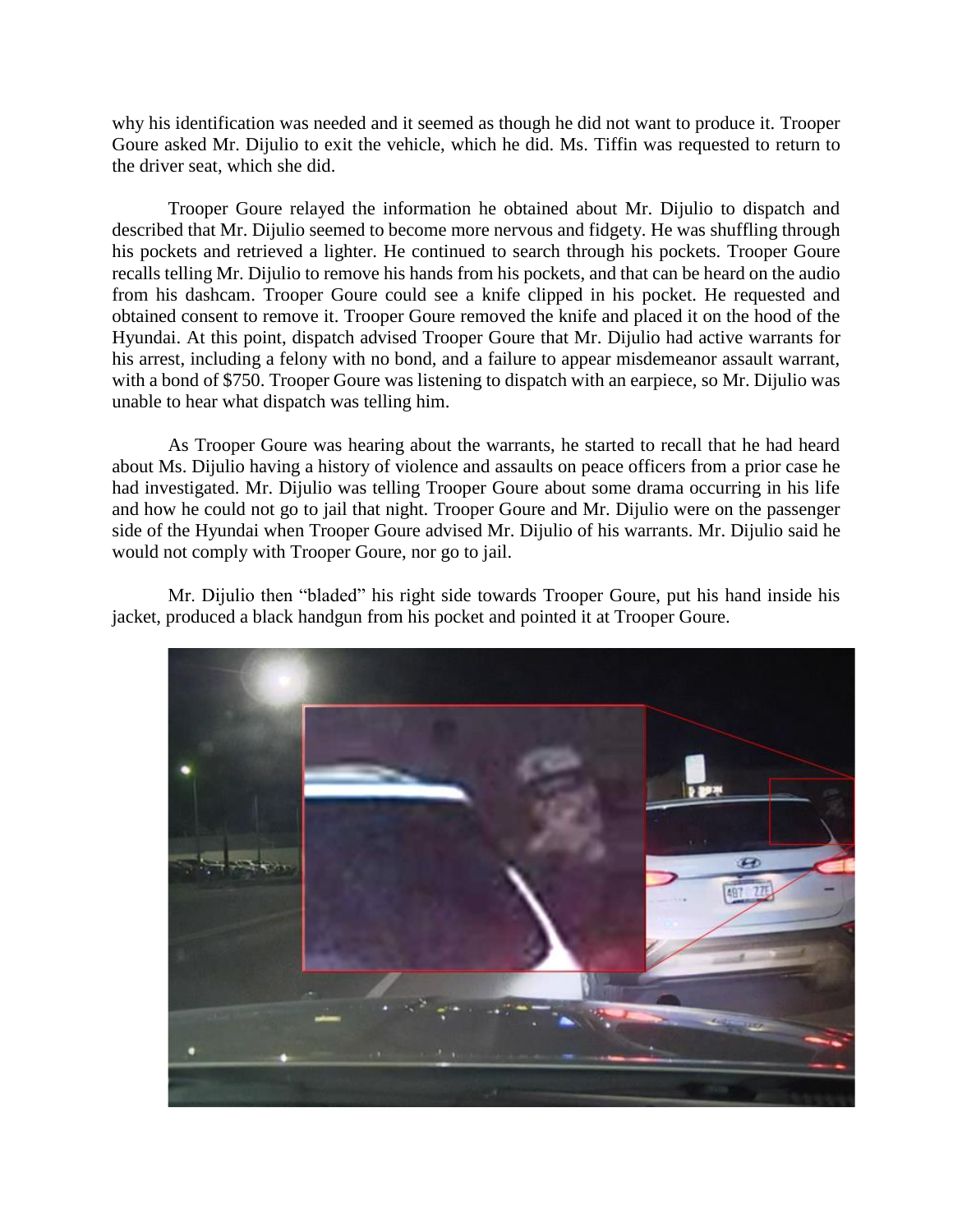why his identification was needed and it seemed as though he did not want to produce it. Trooper Goure asked Mr. Dijulio to exit the vehicle, which he did. Ms. Tiffin was requested to return to the driver seat, which she did.

Trooper Goure relayed the information he obtained about Mr. Dijulio to dispatch and described that Mr. Dijulio seemed to become more nervous and fidgety. He was shuffling through his pockets and retrieved a lighter. He continued to search through his pockets. Trooper Goure recalls telling Mr. Dijulio to remove his hands from his pockets, and that can be heard on the audio from his dashcam. Trooper Goure could see a knife clipped in his pocket. He requested and obtained consent to remove it. Trooper Goure removed the knife and placed it on the hood of the Hyundai. At this point, dispatch advised Trooper Goure that Mr. Dijulio had active warrants for his arrest, including a felony with no bond, and a failure to appear misdemeanor assault warrant, with a bond of \$750. Trooper Goure was listening to dispatch with an earpiece, so Mr. Dijulio was unable to hear what dispatch was telling him.

As Trooper Goure was hearing about the warrants, he started to recall that he had heard about Ms. Dijulio having a history of violence and assaults on peace officers from a prior case he had investigated. Mr. Dijulio was telling Trooper Goure about some drama occurring in his life and how he could not go to jail that night. Trooper Goure and Mr. Dijulio were on the passenger side of the Hyundai when Trooper Goure advised Mr. Dijulio of his warrants. Mr. Dijulio said he would not comply with Trooper Goure, nor go to jail.

Mr. Dijulio then "bladed" his right side towards Trooper Goure, put his hand inside his jacket, produced a black handgun from his pocket and pointed it at Trooper Goure.

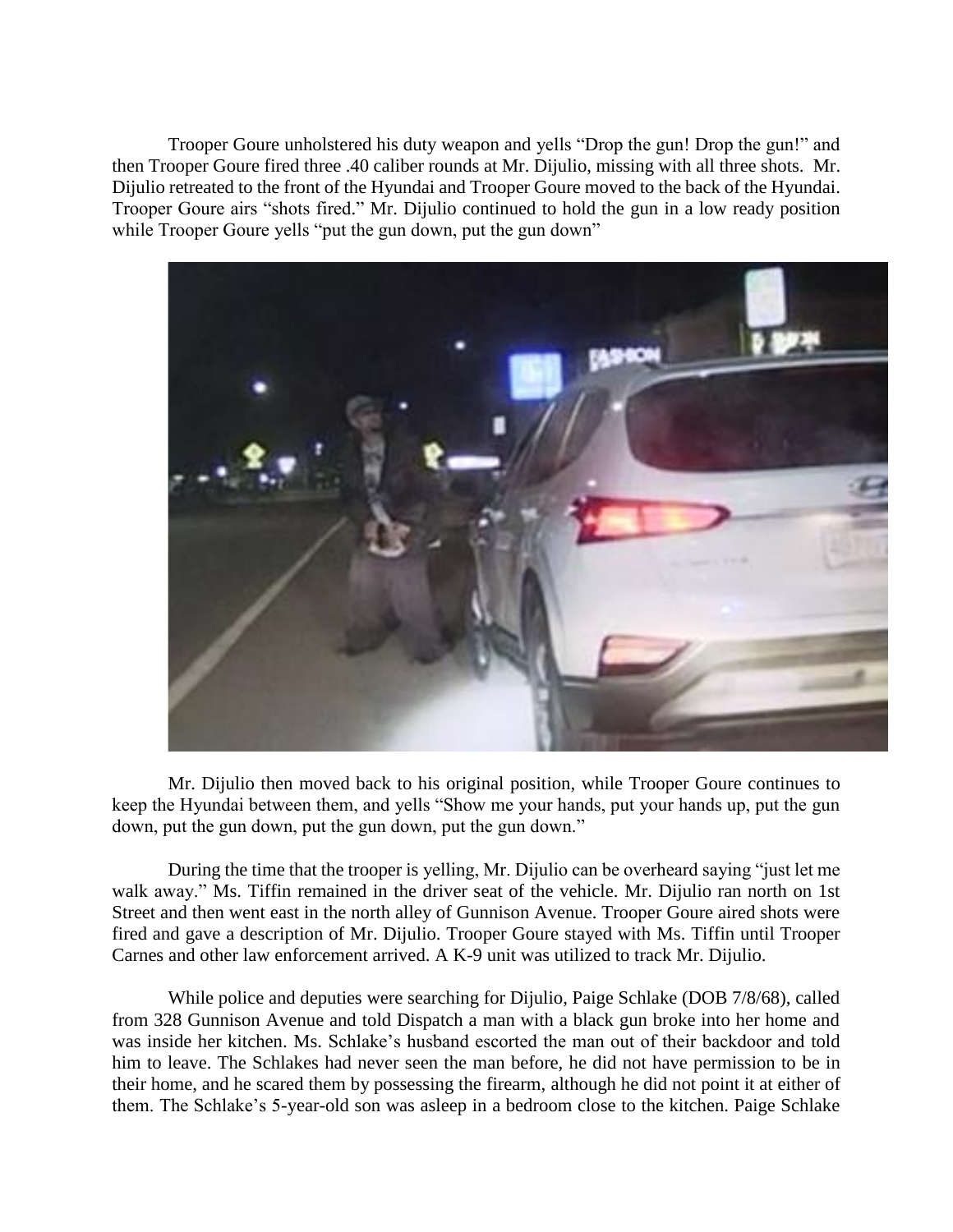Trooper Goure unholstered his duty weapon and yells "Drop the gun! Drop the gun!" and then Trooper Goure fired three .40 caliber rounds at Mr. Dijulio, missing with all three shots. Mr. Dijulio retreated to the front of the Hyundai and Trooper Goure moved to the back of the Hyundai. Trooper Goure airs "shots fired." Mr. Dijulio continued to hold the gun in a low ready position while Trooper Goure yells "put the gun down, put the gun down"



Mr. Dijulio then moved back to his original position, while Trooper Goure continues to keep the Hyundai between them, and yells "Show me your hands, put your hands up, put the gun down, put the gun down, put the gun down, put the gun down."

During the time that the trooper is yelling, Mr. Dijulio can be overheard saying "just let me walk away." Ms. Tiffin remained in the driver seat of the vehicle. Mr. Dijulio ran north on 1st Street and then went east in the north alley of Gunnison Avenue. Trooper Goure aired shots were fired and gave a description of Mr. Dijulio. Trooper Goure stayed with Ms. Tiffin until Trooper Carnes and other law enforcement arrived. A K-9 unit was utilized to track Mr. Dijulio.

While police and deputies were searching for Dijulio, Paige Schlake (DOB 7/8/68), called from 328 Gunnison Avenue and told Dispatch a man with a black gun broke into her home and was inside her kitchen. Ms. Schlake's husband escorted the man out of their backdoor and told him to leave. The Schlakes had never seen the man before, he did not have permission to be in their home, and he scared them by possessing the firearm, although he did not point it at either of them. The Schlake's 5-year-old son was asleep in a bedroom close to the kitchen. Paige Schlake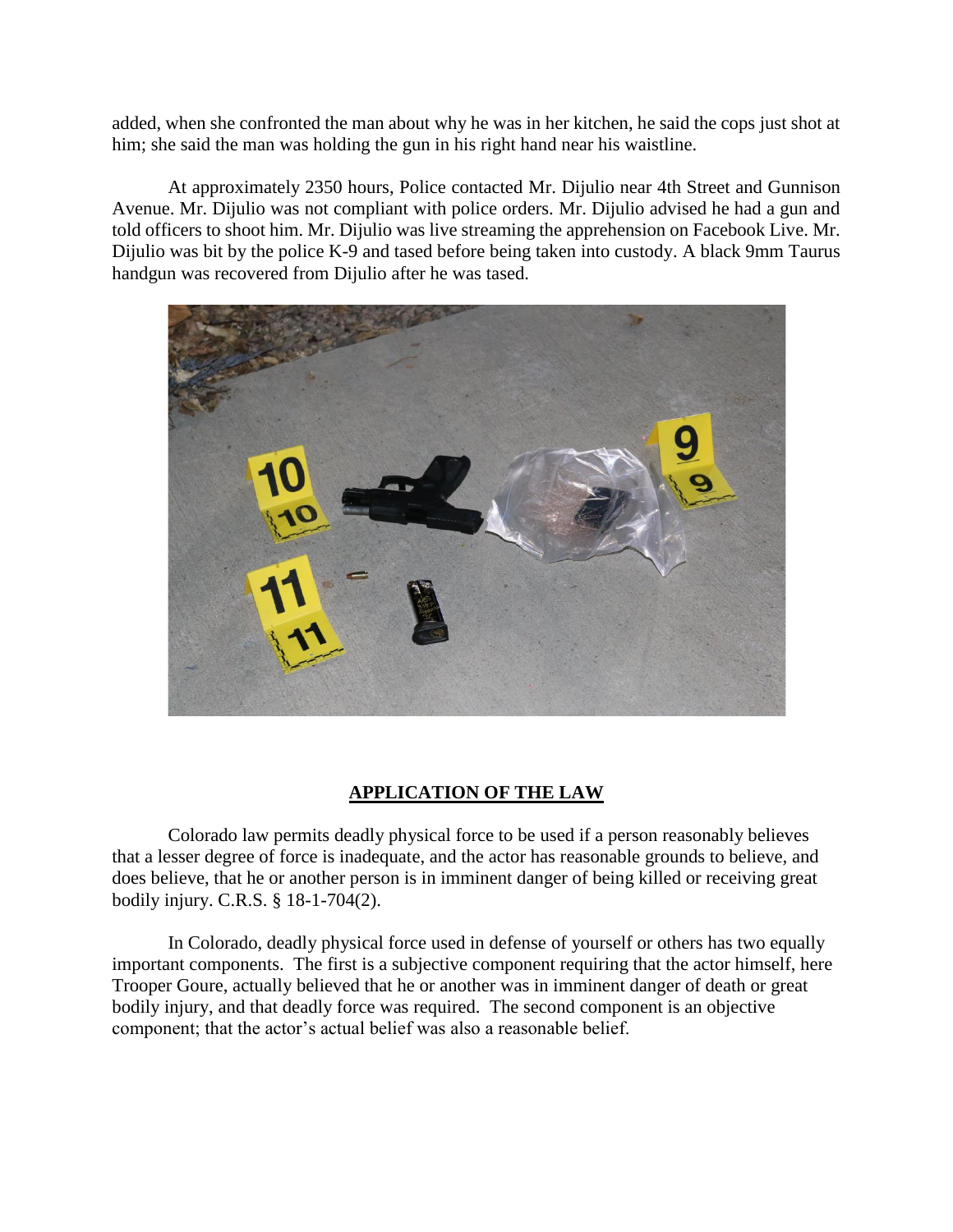added, when she confronted the man about why he was in her kitchen, he said the cops just shot at him; she said the man was holding the gun in his right hand near his waistline.

At approximately 2350 hours, Police contacted Mr. Dijulio near 4th Street and Gunnison Avenue. Mr. Dijulio was not compliant with police orders. Mr. Dijulio advised he had a gun and told officers to shoot him. Mr. Dijulio was live streaming the apprehension on Facebook Live. Mr. Dijulio was bit by the police K-9 and tased before being taken into custody. A black 9mm Taurus handgun was recovered from Dijulio after he was tased.



## **APPLICATION OF THE LAW**

Colorado law permits deadly physical force to be used if a person reasonably believes that a lesser degree of force is inadequate, and the actor has reasonable grounds to believe, and does believe, that he or another person is in imminent danger of being killed or receiving great bodily injury. C.R.S. § 18-1-704(2).

In Colorado, deadly physical force used in defense of yourself or others has two equally important components. The first is a subjective component requiring that the actor himself, here Trooper Goure, actually believed that he or another was in imminent danger of death or great bodily injury, and that deadly force was required. The second component is an objective component; that the actor's actual belief was also a reasonable belief.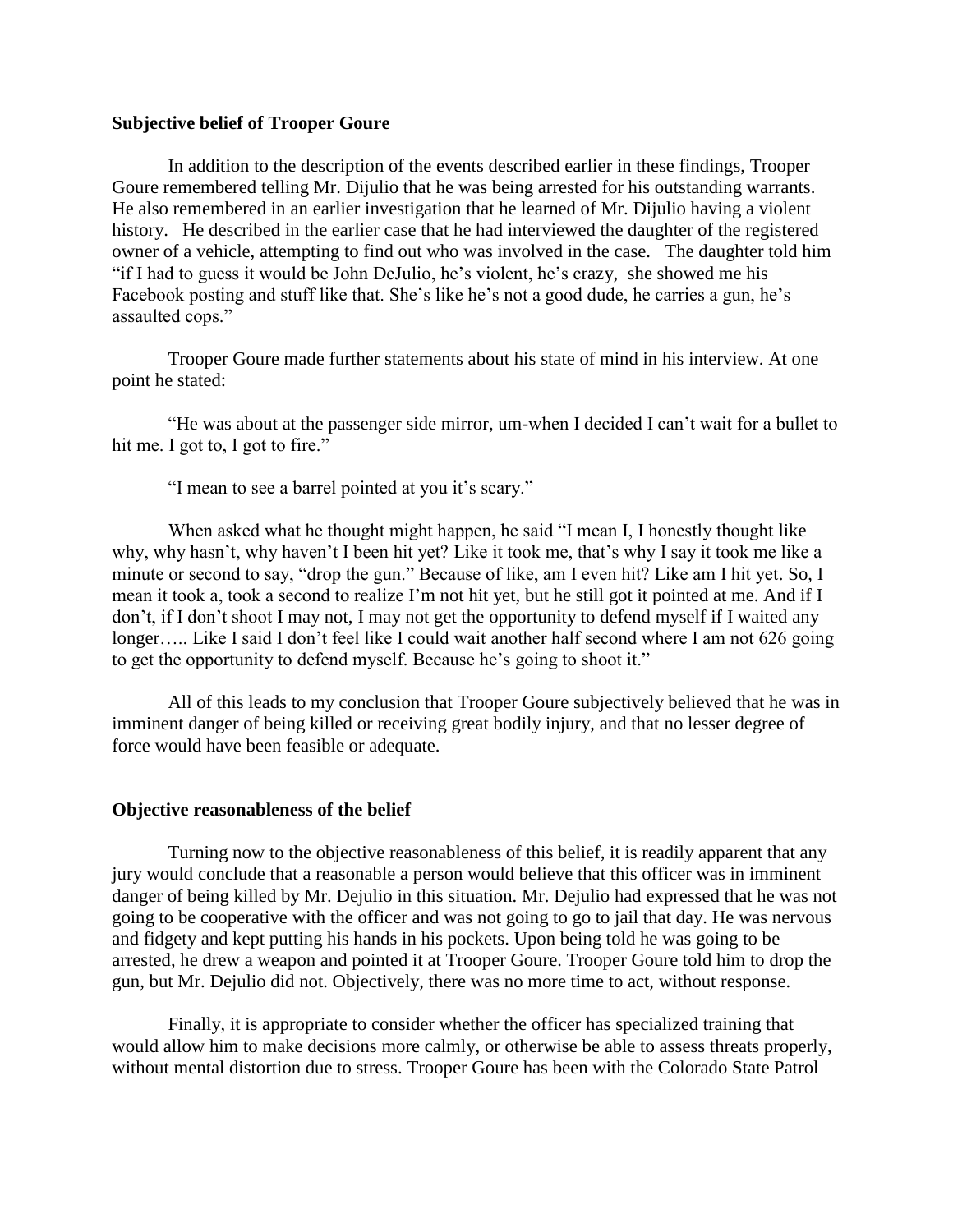#### **Subjective belief of Trooper Goure**

In addition to the description of the events described earlier in these findings, Trooper Goure remembered telling Mr. Dijulio that he was being arrested for his outstanding warrants. He also remembered in an earlier investigation that he learned of Mr. Dijulio having a violent history. He described in the earlier case that he had interviewed the daughter of the registered owner of a vehicle, attempting to find out who was involved in the case. The daughter told him "if I had to guess it would be John DeJulio, he's violent, he's crazy, she showed me his Facebook posting and stuff like that. She's like he's not a good dude, he carries a gun, he's assaulted cops."

Trooper Goure made further statements about his state of mind in his interview. At one point he stated:

"He was about at the passenger side mirror, um-when I decided I can't wait for a bullet to hit me. I got to, I got to fire."

"I mean to see a barrel pointed at you it's scary."

When asked what he thought might happen, he said "I mean I, I honestly thought like why, why hasn't, why haven't I been hit yet? Like it took me, that's why I say it took me like a minute or second to say, "drop the gun." Because of like, am I even hit? Like am I hit yet. So, I mean it took a, took a second to realize I'm not hit yet, but he still got it pointed at me. And if I don't, if I don't shoot I may not, I may not get the opportunity to defend myself if I waited any longer..... Like I said I don't feel like I could wait another half second where I am not 626 going to get the opportunity to defend myself. Because he's going to shoot it."

All of this leads to my conclusion that Trooper Goure subjectively believed that he was in imminent danger of being killed or receiving great bodily injury, and that no lesser degree of force would have been feasible or adequate.

#### **Objective reasonableness of the belief**

Turning now to the objective reasonableness of this belief, it is readily apparent that any jury would conclude that a reasonable a person would believe that this officer was in imminent danger of being killed by Mr. Dejulio in this situation. Mr. Dejulio had expressed that he was not going to be cooperative with the officer and was not going to go to jail that day. He was nervous and fidgety and kept putting his hands in his pockets. Upon being told he was going to be arrested, he drew a weapon and pointed it at Trooper Goure. Trooper Goure told him to drop the gun, but Mr. Dejulio did not. Objectively, there was no more time to act, without response.

Finally, it is appropriate to consider whether the officer has specialized training that would allow him to make decisions more calmly, or otherwise be able to assess threats properly, without mental distortion due to stress. Trooper Goure has been with the Colorado State Patrol